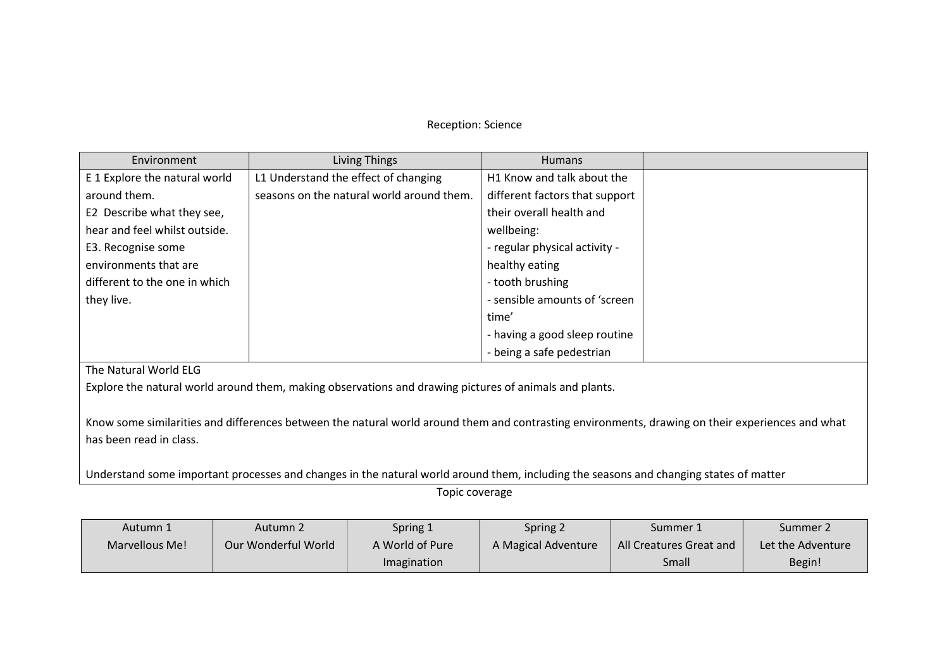## Reception: Science

| Environment                                                                                                                                      | Living Things                             | <b>Humans</b>                  |  |  |  |  |
|--------------------------------------------------------------------------------------------------------------------------------------------------|-------------------------------------------|--------------------------------|--|--|--|--|
| E 1 Explore the natural world                                                                                                                    | L1 Understand the effect of changing      | H1 Know and talk about the     |  |  |  |  |
| around them.                                                                                                                                     | seasons on the natural world around them. | different factors that support |  |  |  |  |
| E2 Describe what they see,                                                                                                                       |                                           | their overall health and       |  |  |  |  |
| hear and feel whilst outside.                                                                                                                    |                                           | wellbeing:                     |  |  |  |  |
| E3. Recognise some                                                                                                                               |                                           | - regular physical activity -  |  |  |  |  |
| environments that are                                                                                                                            |                                           | healthy eating                 |  |  |  |  |
| different to the one in which                                                                                                                    |                                           | - tooth brushing               |  |  |  |  |
| they live.                                                                                                                                       |                                           | - sensible amounts of 'screen  |  |  |  |  |
|                                                                                                                                                  |                                           | time'                          |  |  |  |  |
|                                                                                                                                                  |                                           | - having a good sleep routine  |  |  |  |  |
|                                                                                                                                                  |                                           | - being a safe pedestrian      |  |  |  |  |
| The Natural World ELG                                                                                                                            |                                           |                                |  |  |  |  |
| Explore the natural world around them, making observations and drawing pictures of animals and plants.                                           |                                           |                                |  |  |  |  |
|                                                                                                                                                  |                                           |                                |  |  |  |  |
| Know some similarities and differences between the patural world around them and contracting environments, drawing on their experiences and what |                                           |                                |  |  |  |  |

Know some similarities and differences between the natural world around them and contrasting environments, drawing on their experiences and what has been read in class.

Understand some important processes and changes in the natural world around them, including the seasons and changing states of matter

Topic coverage

| Autumn 1       | Autumn 2            | Spring 1           | Spring 2            | Summer 1                | Summer 2          |
|----------------|---------------------|--------------------|---------------------|-------------------------|-------------------|
| Marvellous Me! | Our Wonderful World | A World of Pure    | A Magical Adventure | All Creatures Great and | Let the Adventure |
|                |                     | <b>Imagination</b> |                     | Small                   | Begin!            |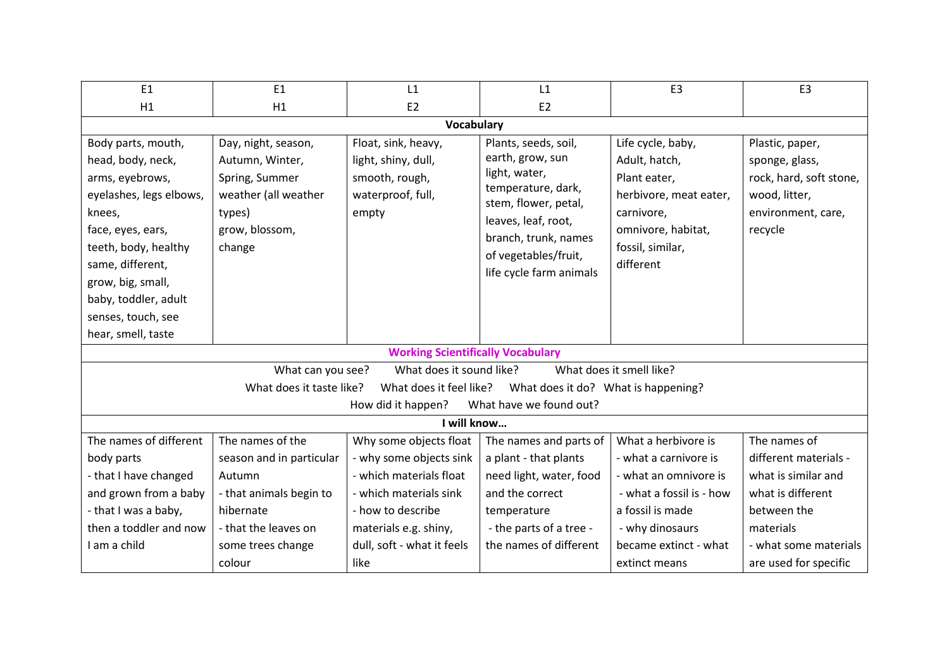| H1<br>Body parts, mouth,<br>head, body, neck,<br>arms, eyebrows,<br>eyelashes, legs elbows,<br>knees,<br>types)<br>face, eyes, ears,<br>teeth, body, healthy<br>change<br>same, different,<br>grow, big, small,          | H1                                                                                                                     | E <sub>2</sub>                                                                                                                                                                     |                                                                                                                                                                                                           |                                                                                                                                                                   |                                                                                                                                        |  |
|--------------------------------------------------------------------------------------------------------------------------------------------------------------------------------------------------------------------------|------------------------------------------------------------------------------------------------------------------------|------------------------------------------------------------------------------------------------------------------------------------------------------------------------------------|-----------------------------------------------------------------------------------------------------------------------------------------------------------------------------------------------------------|-------------------------------------------------------------------------------------------------------------------------------------------------------------------|----------------------------------------------------------------------------------------------------------------------------------------|--|
|                                                                                                                                                                                                                          |                                                                                                                        |                                                                                                                                                                                    | E <sub>2</sub>                                                                                                                                                                                            |                                                                                                                                                                   |                                                                                                                                        |  |
|                                                                                                                                                                                                                          | <b>Vocabulary</b>                                                                                                      |                                                                                                                                                                                    |                                                                                                                                                                                                           |                                                                                                                                                                   |                                                                                                                                        |  |
| baby, toddler, adult<br>senses, touch, see<br>hear, smell, taste                                                                                                                                                         | Day, night, season,<br>Autumn, Winter,<br>Spring, Summer<br>weather (all weather<br>grow, blossom,                     | Float, sink, heavy,<br>light, shiny, dull,<br>smooth, rough,<br>waterproof, full,<br>empty                                                                                         | Plants, seeds, soil,<br>earth, grow, sun<br>light, water,<br>temperature, dark,<br>stem, flower, petal,<br>leaves, leaf, root,<br>branch, trunk, names<br>of vegetables/fruit,<br>life cycle farm animals | Life cycle, baby,<br>Adult, hatch,<br>Plant eater,<br>herbivore, meat eater,<br>carnivore,<br>omnivore, habitat,<br>fossil, similar,<br>different                 | Plastic, paper,<br>sponge, glass,<br>rock, hard, soft stone,<br>wood, litter,<br>environment, care,<br>recycle                         |  |
| <b>Working Scientifically Vocabulary</b>                                                                                                                                                                                 |                                                                                                                        |                                                                                                                                                                                    |                                                                                                                                                                                                           |                                                                                                                                                                   |                                                                                                                                        |  |
| What does it smell like?<br>What can you see?<br>What does it sound like?<br>What does it taste like?<br>What does it feel like?<br>What does it do? What is happening?<br>What have we found out?<br>How did it happen? |                                                                                                                        |                                                                                                                                                                                    |                                                                                                                                                                                                           |                                                                                                                                                                   |                                                                                                                                        |  |
| I will know                                                                                                                                                                                                              |                                                                                                                        |                                                                                                                                                                                    |                                                                                                                                                                                                           |                                                                                                                                                                   |                                                                                                                                        |  |
| The names of different<br>body parts<br>- that I have changed<br>and grown from a baby<br>- that I was a baby,<br>then a toddler and now<br>I am a child<br>some trees change<br>colour                                  | The names of the<br>season and in particular<br>Autumn<br>- that animals begin to<br>hibernate<br>- that the leaves on | Why some objects float<br>- why some objects sink<br>- which materials float<br>- which materials sink<br>- how to describe<br>materials e.g. shiny,<br>dull, soft - what it feels | The names and parts of<br>a plant - that plants<br>need light, water, food<br>and the correct<br>temperature<br>- the parts of a tree -<br>the names of different                                         | What a herbivore is<br>- what a carnivore is<br>- what an omnivore is<br>- what a fossil is - how<br>a fossil is made<br>- why dinosaurs<br>became extinct - what | The names of<br>different materials -<br>what is similar and<br>what is different<br>between the<br>materials<br>- what some materials |  |